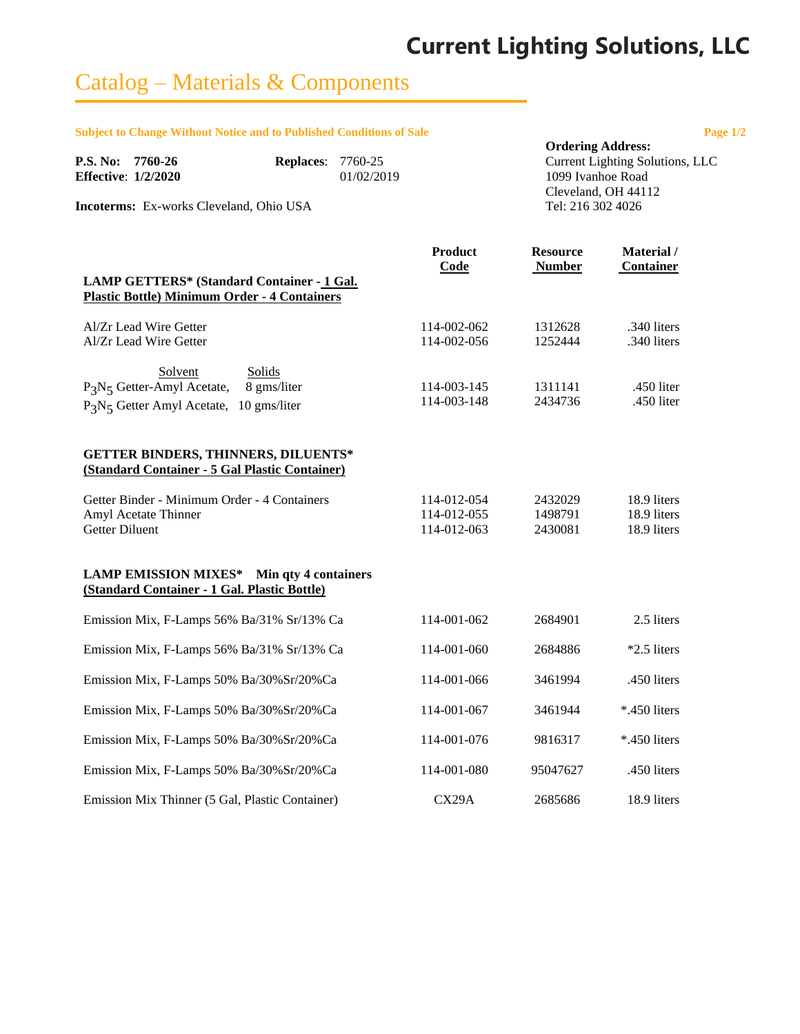# **Current Lighting Solutions, LLC**

## Catalog – Materials & Components

**Subject to Change Without Notice and to Published Conditions of Sale Page 1/2** 

|                                                |            | <b>Ordering Address:</b>        |
|------------------------------------------------|------------|---------------------------------|
| P.S. No: 7760-26<br><b>Replaces: 7760-25</b>   |            | Current Lighting Solutions, LLC |
| <b>Effective: 1/2/2020</b>                     | 01/02/2019 | 1099 Ivanhoe Road               |
|                                                |            | Cleveland, OH 44112             |
| <b>Incoterms:</b> Ex-works Cleveland, Ohio USA |            | Tel: 216 302 4026               |
|                                                |            |                                 |

|                                                                                                                                                              | <b>Product</b><br>Code                    | <b>Resource</b><br><b>Number</b> | Material /<br><b>Container</b>            |
|--------------------------------------------------------------------------------------------------------------------------------------------------------------|-------------------------------------------|----------------------------------|-------------------------------------------|
| LAMP GETTERS* (Standard Container - 1 Gal.<br><b>Plastic Bottle) Minimum Order - 4 Containers</b>                                                            |                                           |                                  |                                           |
| Al/Zr Lead Wire Getter<br>Al/Zr Lead Wire Getter                                                                                                             | 114-002-062<br>114-002-056                | 1312628<br>1252444               | .340 liters<br>.340 liters                |
| Solvent<br>Solids<br>P <sub>3</sub> N <sub>5</sub> Getter-Amyl Acetate,<br>8 gms/liter<br>P <sub>3</sub> N <sub>5</sub> Getter Amyl Acetate,<br>10 gms/liter | 114-003-145<br>114-003-148                | 1311141<br>2434736               | .450 liter<br>.450 liter                  |
| <b>GETTER BINDERS, THINNERS, DILUENTS*</b><br>(Standard Container - 5 Gal Plastic Container)                                                                 |                                           |                                  |                                           |
| Getter Binder - Minimum Order - 4 Containers<br>Amyl Acetate Thinner<br><b>Getter Diluent</b>                                                                | 114-012-054<br>114-012-055<br>114-012-063 | 2432029<br>1498791<br>2430081    | 18.9 liters<br>18.9 liters<br>18.9 liters |
| <b>LAMP EMISSION MIXES*</b><br>Min qty 4 containers<br>(Standard Container - 1 Gal. Plastic Bottle)                                                          |                                           |                                  |                                           |
| Emission Mix, F-Lamps 56% Ba/31% Sr/13% Ca                                                                                                                   | 114-001-062                               | 2684901                          | 2.5 liters                                |
| Emission Mix, F-Lamps 56% Ba/31% Sr/13% Ca                                                                                                                   | 114-001-060                               | 2684886                          | *2.5 liters                               |
| Emission Mix, F-Lamps 50% Ba/30%Sr/20%Ca                                                                                                                     | 114-001-066                               | 3461994                          | .450 liters                               |
| Emission Mix, F-Lamps 50% Ba/30%Sr/20%Ca                                                                                                                     | 114-001-067                               | 3461944                          | *.450 liters                              |
| Emission Mix, F-Lamps 50% Ba/30%Sr/20%Ca                                                                                                                     | 114-001-076                               | 9816317                          | *.450 liters                              |
| Emission Mix, F-Lamps 50% Ba/30%Sr/20%Ca                                                                                                                     | 114-001-080                               | 95047627                         | .450 liters                               |
| Emission Mix Thinner (5 Gal, Plastic Container)                                                                                                              | CX29A                                     | 2685686                          | 18.9 liters                               |